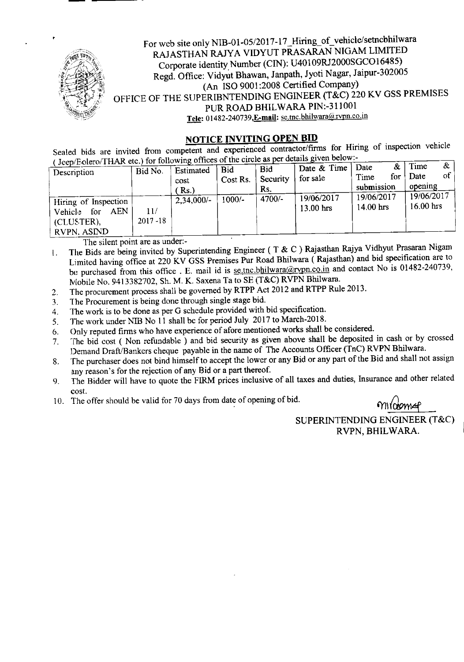

For web site only NIB-OI-OS/2017-17 \_Hiring\_of\_ vehicle/setncbhilwara RAJASTHAN RAJYA VIDYUT PRASARAN NIGAM LIMITED Corporate identity Number (CIN): U40109RJ2000SGC01648S) Regd. Office: Vidyut Bhawan, Janpath, Jyoti Nagar, Jaipur-30200S (An ISO 9001:2008 Certified Company) OFFICE OF THE SUPERIBNTENDING ENGINEER (T&C) 220 KV GSS PREMISES PUR ROAD BHILWARA PIN:-311001 Tele: 01482-240739, E-mail: se.tnc.bhilwara@rvpn.co.in

## **NOTICE INVITING OPEN BID**

Sealed bids are invited from competent and experienced contractor/firms for Hiring of inspection vehicle  $\epsilon$ ro/THAR etc.) for following offices of the circle as per details given below:-

| Jeep/Polero/TriAN etc.) for following offices of the entry<br>$\alpha$<br>Time<br>& |             |              |            |            |             |             |                    |  |  |
|-------------------------------------------------------------------------------------|-------------|--------------|------------|------------|-------------|-------------|--------------------|--|--|
| Description                                                                         | Bid No.     | Estimated    | <b>Bid</b> | <b>Bid</b> | Date & Time | Date        |                    |  |  |
|                                                                                     |             |              | Cost Rs.   | Security   | for sale    | for<br>Time | $of \vert$<br>Date |  |  |
|                                                                                     |             | cost         |            |            |             |             |                    |  |  |
|                                                                                     |             | Rs.          |            | Rs.        |             | submission  | opening            |  |  |
|                                                                                     |             |              |            | $4700/-$   | 19/06/2017  | 19/06/2017  | 19/06/2017         |  |  |
| Hiring of Inspection                                                                |             | $2,34,000/-$ | $1000/-$   |            |             |             | $16.00$ hrs        |  |  |
| <b>AEN</b><br>for<br><b>Vehicle</b>                                                 | 11/         |              |            |            | $13.00$ hrs | $14.00$ hrs |                    |  |  |
|                                                                                     |             |              |            |            |             |             |                    |  |  |
| (CLUSTER),                                                                          | $2017 - 18$ |              |            |            |             |             |                    |  |  |
| RVPN. ASIND                                                                         |             |              |            |            |             |             |                    |  |  |
|                                                                                     |             |              |            |            |             |             |                    |  |  |

The silent point are as under:-

The Bids are being invited by Superintending Engineer ( T & C ) Rajasthan Rajya Vidhyut Prasaran Nigam Limited having office at 220 KV GSS Premises Pur Road Bhilwara ( Rajasthan) and bid specification are to be purchased from this office. E. mail id is se.tnc.bhilwara@rypn.co.in and contact No is 01482-240739, Mobile No. 9413382702, Sh. M. K. Saxena Ta to SE (T&C) RVPN Bhilwara. l.

- The procurement process shall be governed by RTPP Act 2012 and RTPP Rule 2013. 2.
- The Procurement is being done through single stage bid. 3.
- The work is to be done as per G schedule provided with bid specification. 4.
- The work under NIB No II shall be for period July 2017 to March-2018. 5.
- Only reputed firms who have experience of afore mentioned works shall be considered. 6.
- The bid cost ( Non refundable ) and bid security as given above shall be deposited in cash or by crossed Demand Draft/Bankers cheque payable in the name of The Accounts Officer (TnC) RVPN Bhilwara. 7.
- 8. The purchaser does not bind himself to accept the lower or any Bid or any part of the Bid and shall not assign any reason's for the rejection of any Bid or a part thereof.
- The Bidder will have to quote the FIRM prices inclusive of all taxes and duties, Insurance and other related cost. 9.
- 10. The offer should be valid for 70 days from date of opening of bid.

mildonne

SUPERINTENDING ENGINEER (T&C) RVPN, BHILWARA.